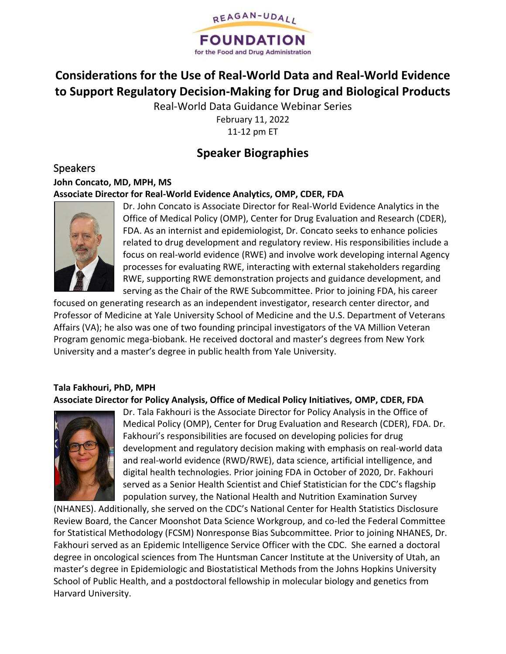

# **Considerations for the Use of Real-World Data and Real-World Evidence to Support Regulatory Decision-Making for Drug and Biological Products**

Real-World Data Guidance Webinar Series

February 11, 2022 11-12 pm ET

# **Speaker Biographies**

Speakers **John Concato, MD, MPH, MS Associate Director for Real-World Evidence Analytics, OMP, CDER, FDA** 



Dr. John Concato is Associate Director for Real-World Evidence Analytics in the Office of Medical Policy (OMP), Center for Drug Evaluation and Research (CDER), FDA. As an internist and epidemiologist, Dr. Concato seeks to enhance policies related to drug development and regulatory review. His responsibilities include a focus on real-world evidence (RWE) and involve work developing internal Agency processes for evaluating RWE, interacting with external stakeholders regarding RWE, supporting RWE demonstration projects and guidance development, and serving as the Chair of the RWE Subcommittee. Prior to joining FDA, his career

focused on generating research as an independent investigator, research center director, and Professor of Medicine at Yale University School of Medicine and the U.S. Department of Veterans Affairs (VA); he also was one of two founding principal investigators of the VA Million Veteran Program genomic mega-biobank. He received doctoral and master's degrees from New York University and a master's degree in public health from Yale University.

### **Tala Fakhouri, PhD, MPH**

**Associate Director for Policy Analysis, Office of Medical Policy Initiatives, OMP, CDER, FDA**



Dr. Tala Fakhouri is the Associate Director for Policy Analysis in the Office of Medical Policy (OMP), Center for Drug Evaluation and Research (CDER), FDA. Dr. Fakhouri's responsibilities are focused on developing policies for drug development and regulatory decision making with emphasis on real-world data and real-world evidence (RWD/RWE), data science, artificial intelligence, and digital health technologies. Prior joining FDA in October of 2020, Dr. Fakhouri served as a Senior Health Scientist and Chief Statistician for the CDC's flagship population survey, the National Health and Nutrition Examination Survey

(NHANES). Additionally, she served on the CDC's National Center for Health Statistics Disclosure Review Board, the Cancer Moonshot Data Science Workgroup, and co-led the Federal Committee for Statistical Methodology (FCSM) Nonresponse Bias Subcommittee. Prior to joining NHANES, Dr. Fakhouri served as an Epidemic Intelligence Service Officer with the CDC. She earned a doctoral degree in oncological sciences from The Huntsman Cancer Institute at the University of Utah, an master's degree in Epidemiologic and Biostatistical Methods from the Johns Hopkins University School of Public Health, and a postdoctoral fellowship in molecular biology and genetics from Harvard University.